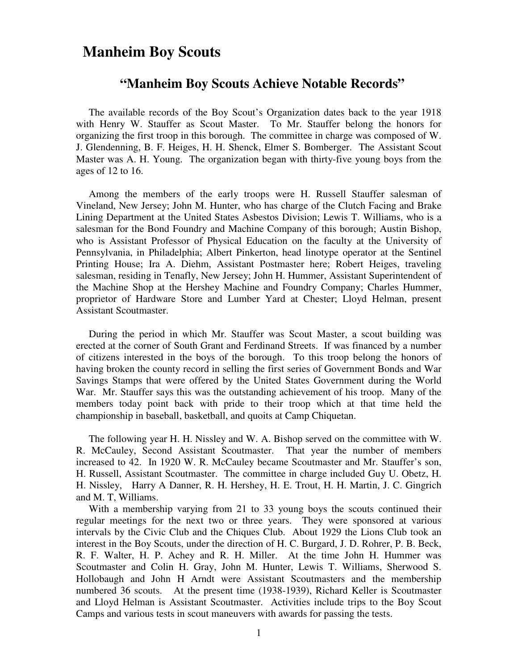### **Manheim Boy Scouts**

#### **"Manheim Boy Scouts Achieve Notable Records"**

 The available records of the Boy Scout's Organization dates back to the year 1918 with Henry W. Stauffer as Scout Master. To Mr. Stauffer belong the honors for organizing the first troop in this borough. The committee in charge was composed of W. J. Glendenning, B. F. Heiges, H. H. Shenck, Elmer S. Bomberger. The Assistant Scout Master was A. H. Young. The organization began with thirty-five young boys from the ages of 12 to 16.

 Among the members of the early troops were H. Russell Stauffer salesman of Vineland, New Jersey; John M. Hunter, who has charge of the Clutch Facing and Brake Lining Department at the United States Asbestos Division; Lewis T. Williams, who is a salesman for the Bond Foundry and Machine Company of this borough; Austin Bishop, who is Assistant Professor of Physical Education on the faculty at the University of Pennsylvania, in Philadelphia; Albert Pinkerton, head linotype operator at the Sentinel Printing House; Ira A. Diehm, Assistant Postmaster here; Robert Heiges, traveling salesman, residing in Tenafly, New Jersey; John H. Hummer, Assistant Superintendent of the Machine Shop at the Hershey Machine and Foundry Company; Charles Hummer, proprietor of Hardware Store and Lumber Yard at Chester; Lloyd Helman, present Assistant Scoutmaster.

 During the period in which Mr. Stauffer was Scout Master, a scout building was erected at the corner of South Grant and Ferdinand Streets. If was financed by a number of citizens interested in the boys of the borough. To this troop belong the honors of having broken the county record in selling the first series of Government Bonds and War Savings Stamps that were offered by the United States Government during the World War. Mr. Stauffer says this was the outstanding achievement of his troop. Many of the members today point back with pride to their troop which at that time held the championship in baseball, basketball, and quoits at Camp Chiquetan.

 The following year H. H. Nissley and W. A. Bishop served on the committee with W. R. McCauley, Second Assistant Scoutmaster. That year the number of members increased to 42. In 1920 W. R. McCauley became Scoutmaster and Mr. Stauffer's son, H. Russell, Assistant Scoutmaster. The committee in charge included Guy U. Obetz, H. H. Nissley, Harry A Danner, R. H. Hershey, H. E. Trout, H. H. Martin, J. C. Gingrich and M. T, Williams.

 With a membership varying from 21 to 33 young boys the scouts continued their regular meetings for the next two or three years. They were sponsored at various intervals by the Civic Club and the Chiques Club. About 1929 the Lions Club took an interest in the Boy Scouts, under the direction of H. C. Burgard, J. D. Rohrer, P. B. Beck, R. F. Walter, H. P. Achey and R. H. Miller. At the time John H. Hummer was Scoutmaster and Colin H. Gray, John M. Hunter, Lewis T. Williams, Sherwood S. Hollobaugh and John H Arndt were Assistant Scoutmasters and the membership numbered 36 scouts. At the present time (1938-1939), Richard Keller is Scoutmaster and Lloyd Helman is Assistant Scoutmaster. Activities include trips to the Boy Scout Camps and various tests in scout maneuvers with awards for passing the tests.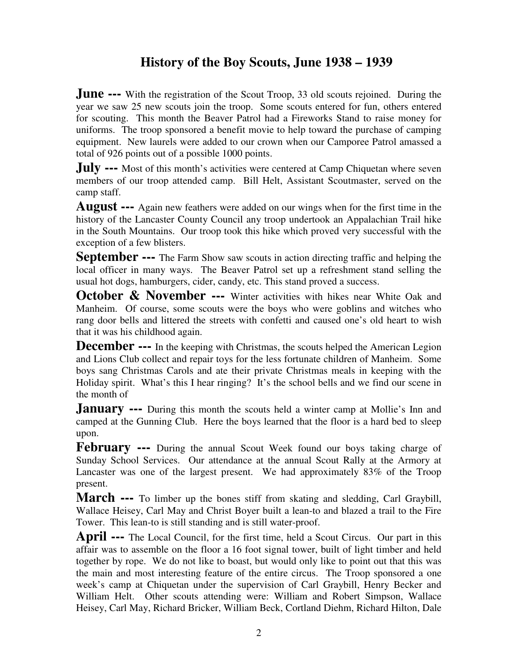# **History of the Boy Scouts, June 1938 – 1939**

**June ---** With the registration of the Scout Troop, 33 old scouts rejoined. During the year we saw 25 new scouts join the troop. Some scouts entered for fun, others entered for scouting. This month the Beaver Patrol had a Fireworks Stand to raise money for uniforms. The troop sponsored a benefit movie to help toward the purchase of camping equipment. New laurels were added to our crown when our Camporee Patrol amassed a total of 926 points out of a possible 1000 points.

**July ---** Most of this month's activities were centered at Camp Chiquetan where seven members of our troop attended camp. Bill Helt, Assistant Scoutmaster, served on the camp staff.

**August ---** Again new feathers were added on our wings when for the first time in the history of the Lancaster County Council any troop undertook an Appalachian Trail hike in the South Mountains. Our troop took this hike which proved very successful with the exception of a few blisters.

**September ---** The Farm Show saw scouts in action directing traffic and helping the local officer in many ways. The Beaver Patrol set up a refreshment stand selling the usual hot dogs, hamburgers, cider, candy, etc. This stand proved a success.

**October & November ---** Winter activities with hikes near White Oak and Manheim. Of course, some scouts were the boys who were goblins and witches who rang door bells and littered the streets with confetti and caused one's old heart to wish that it was his childhood again.

**December ---** In the keeping with Christmas, the scouts helped the American Legion and Lions Club collect and repair toys for the less fortunate children of Manheim. Some boys sang Christmas Carols and ate their private Christmas meals in keeping with the Holiday spirit. What's this I hear ringing? It's the school bells and we find our scene in the month of

**January ---** During this month the scouts held a winter camp at Mollie's Inn and camped at the Gunning Club. Here the boys learned that the floor is a hard bed to sleep upon.

**February ---** During the annual Scout Week found our boys taking charge of Sunday School Services. Our attendance at the annual Scout Rally at the Armory at Lancaster was one of the largest present. We had approximately 83% of the Troop present.

**March ---** To limber up the bones stiff from skating and sledding, Carl Graybill, Wallace Heisey, Carl May and Christ Boyer built a lean-to and blazed a trail to the Fire Tower. This lean-to is still standing and is still water-proof.

**April ---** The Local Council, for the first time, held a Scout Circus. Our part in this affair was to assemble on the floor a 16 foot signal tower, built of light timber and held together by rope. We do not like to boast, but would only like to point out that this was the main and most interesting feature of the entire circus. The Troop sponsored a one week's camp at Chiquetan under the supervision of Carl Graybill, Henry Becker and William Helt. Other scouts attending were: William and Robert Simpson, Wallace Heisey, Carl May, Richard Bricker, William Beck, Cortland Diehm, Richard Hilton, Dale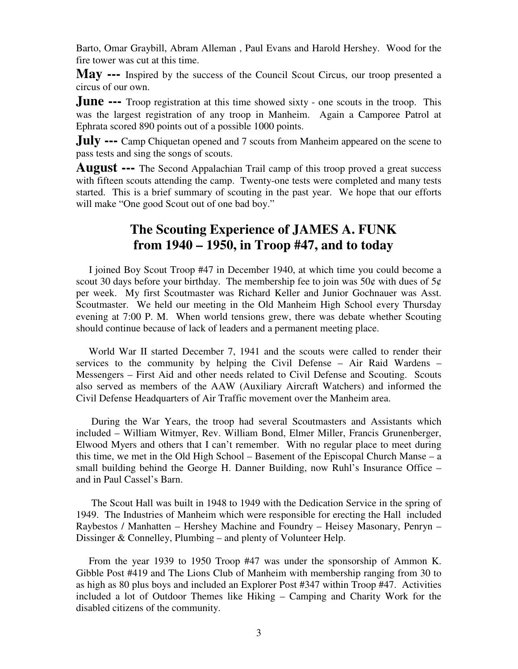Barto, Omar Graybill, Abram Alleman , Paul Evans and Harold Hershey. Wood for the fire tower was cut at this time.

**May ---** Inspired by the success of the Council Scout Circus, our troop presented a circus of our own.

**June ---** Troop registration at this time showed sixty - one scouts in the troop. This was the largest registration of any troop in Manheim. Again a Camporee Patrol at Ephrata scored 890 points out of a possible 1000 points.

**July ---** Camp Chiquetan opened and 7 scouts from Manheim appeared on the scene to pass tests and sing the songs of scouts.

**August ---** The Second Appalachian Trail camp of this troop proved a great success with fifteen scouts attending the camp. Twenty-one tests were completed and many tests started. This is a brief summary of scouting in the past year. We hope that our efforts will make "One good Scout out of one bad boy."

## **The Scouting Experience of JAMES A. FUNK from 1940 – 1950, in Troop #47, and to today**

 I joined Boy Scout Troop #47 in December 1940, at which time you could become a scout 30 days before your birthday. The membership fee to join was 50 $\phi$  with dues of 5 $\phi$ per week. My first Scoutmaster was Richard Keller and Junior Gochnauer was Asst. Scoutmaster. We held our meeting in the Old Manheim High School every Thursday evening at 7:00 P. M. When world tensions grew, there was debate whether Scouting should continue because of lack of leaders and a permanent meeting place.

 World War II started December 7, 1941 and the scouts were called to render their services to the community by helping the Civil Defense – Air Raid Wardens – Messengers – First Aid and other needs related to Civil Defense and Scouting. Scouts also served as members of the AAW (Auxiliary Aircraft Watchers) and informed the Civil Defense Headquarters of Air Traffic movement over the Manheim area.

 During the War Years, the troop had several Scoutmasters and Assistants which included – William Witmyer, Rev. William Bond, Elmer Miller, Francis Grunenberger, Elwood Myers and others that I can't remember. With no regular place to meet during this time, we met in the Old High School – Basement of the Episcopal Church Manse – a small building behind the George H. Danner Building, now Ruhl's Insurance Office – and in Paul Cassel's Barn.

 The Scout Hall was built in 1948 to 1949 with the Dedication Service in the spring of 1949. The Industries of Manheim which were responsible for erecting the Hall included Raybestos / Manhatten – Hershey Machine and Foundry – Heisey Masonary, Penryn – Dissinger & Connelley, Plumbing – and plenty of Volunteer Help.

 From the year 1939 to 1950 Troop #47 was under the sponsorship of Ammon K. Gibble Post #419 and The Lions Club of Manheim with membership ranging from 30 to as high as 80 plus boys and included an Explorer Post #347 within Troop #47. Activities included a lot of Outdoor Themes like Hiking – Camping and Charity Work for the disabled citizens of the community.